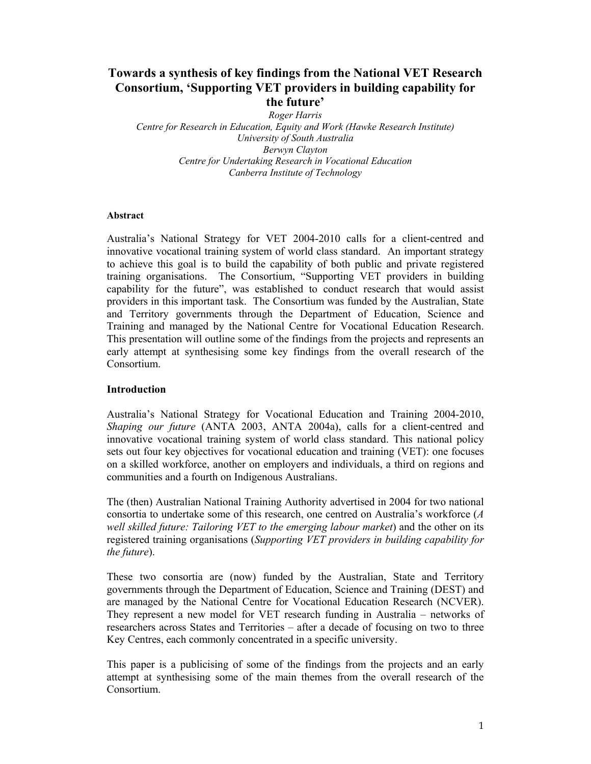# **Towards a synthesis of key findings from the National VET Research Consortium, 'Supporting VET providers in building capability for the future'**

*Roger Harris Centre for Research in Education, Equity and Work (Hawke Research Institute) University of South Australia Berwyn Clayton Centre for Undertaking Research in Vocational Education Canberra Institute of Technology* 

#### **Abstract**

Australia's National Strategy for VET 2004-2010 calls for a client-centred and innovative vocational training system of world class standard. An important strategy to achieve this goal is to build the capability of both public and private registered training organisations.The Consortium, "Supporting VET providers in building capability for the future", was established to conduct research that would assist providers in this important task. The Consortium was funded by the Australian, State and Territory governments through the Department of Education, Science and Training and managed by the National Centre for Vocational Education Research. This presentation will outline some of the findings from the projects and represents an early attempt at synthesising some key findings from the overall research of the **Consortium** 

#### **Introduction**

Australia's National Strategy for Vocational Education and Training 2004-2010, *Shaping our future* (ANTA 2003, ANTA 2004a), calls for a client-centred and innovative vocational training system of world class standard. This national policy sets out four key objectives for vocational education and training (VET): one focuses on a skilled workforce, another on employers and individuals, a third on regions and communities and a fourth on Indigenous Australians.

The (then) Australian National Training Authority advertised in 2004 for two national consortia to undertake some of this research, one centred on Australia's workforce (*A well skilled future: Tailoring VET to the emerging labour market*) and the other on its registered training organisations (*Supporting VET providers in building capability for the future*).

These two consortia are (now) funded by the Australian, State and Territory governments through the Department of Education, Science and Training (DEST) and are managed by the National Centre for Vocational Education Research (NCVER). They represent a new model for VET research funding in Australia – networks of researchers across States and Territories – after a decade of focusing on two to three Key Centres, each commonly concentrated in a specific university.

This paper is a publicising of some of the findings from the projects and an early attempt at synthesising some of the main themes from the overall research of the Consortium.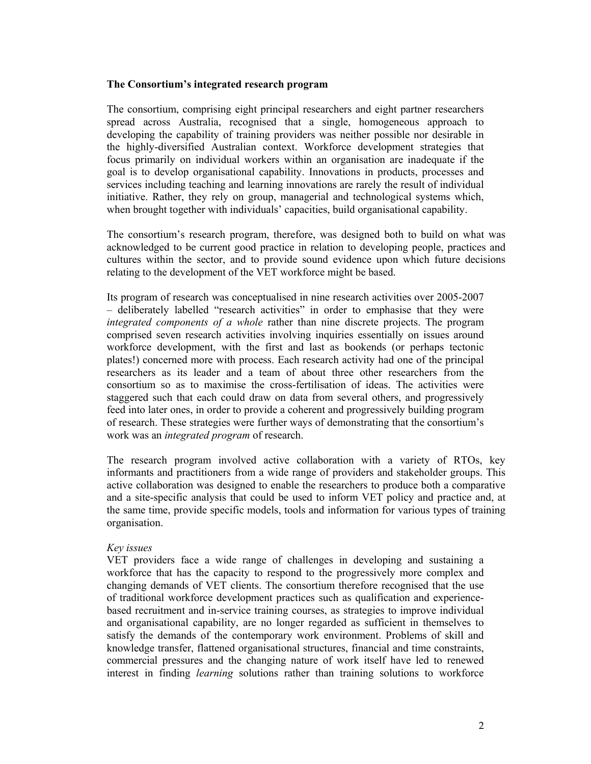#### **The Consortium's integrated research program**

The consortium, comprising eight principal researchers and eight partner researchers spread across Australia, recognised that a single, homogeneous approach to developing the capability of training providers was neither possible nor desirable in the highly-diversified Australian context. Workforce development strategies that focus primarily on individual workers within an organisation are inadequate if the goal is to develop organisational capability. Innovations in products, processes and services including teaching and learning innovations are rarely the result of individual initiative. Rather, they rely on group, managerial and technological systems which, when brought together with individuals' capacities, build organisational capability.

The consortium's research program, therefore, was designed both to build on what was acknowledged to be current good practice in relation to developing people, practices and cultures within the sector, and to provide sound evidence upon which future decisions relating to the development of the VET workforce might be based.

Its program of research was conceptualised in nine research activities over 2005-2007 – deliberately labelled "research activities" in order to emphasise that they were *integrated components of a whole* rather than nine discrete projects. The program comprised seven research activities involving inquiries essentially on issues around workforce development, with the first and last as bookends (or perhaps tectonic plates!) concerned more with process. Each research activity had one of the principal researchers as its leader and a team of about three other researchers from the consortium so as to maximise the cross-fertilisation of ideas. The activities were staggered such that each could draw on data from several others, and progressively feed into later ones, in order to provide a coherent and progressively building program of research. These strategies were further ways of demonstrating that the consortium's work was an *integrated program* of research.

The research program involved active collaboration with a variety of RTOs, key informants and practitioners from a wide range of providers and stakeholder groups. This active collaboration was designed to enable the researchers to produce both a comparative and a site-specific analysis that could be used to inform VET policy and practice and, at the same time, provide specific models, tools and information for various types of training organisation.

## *Key issues*

VET providers face a wide range of challenges in developing and sustaining a workforce that has the capacity to respond to the progressively more complex and changing demands of VET clients. The consortium therefore recognised that the use of traditional workforce development practices such as qualification and experiencebased recruitment and in-service training courses, as strategies to improve individual and organisational capability, are no longer regarded as sufficient in themselves to satisfy the demands of the contemporary work environment. Problems of skill and knowledge transfer, flattened organisational structures, financial and time constraints, commercial pressures and the changing nature of work itself have led to renewed interest in finding *learning* solutions rather than training solutions to workforce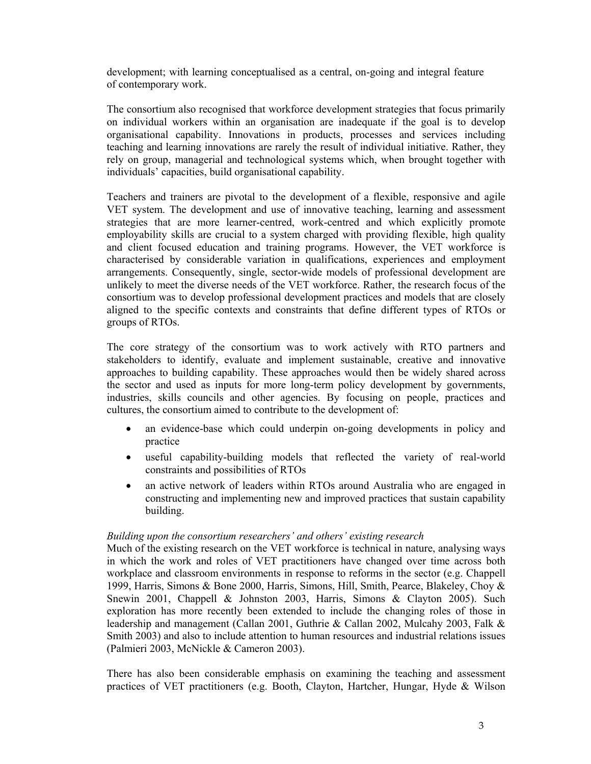development; with learning conceptualised as a central, on-going and integral feature of contemporary work.

The consortium also recognised that workforce development strategies that focus primarily on individual workers within an organisation are inadequate if the goal is to develop organisational capability. Innovations in products, processes and services including teaching and learning innovations are rarely the result of individual initiative. Rather, they rely on group, managerial and technological systems which, when brought together with individuals' capacities, build organisational capability.

Teachers and trainers are pivotal to the development of a flexible, responsive and agile VET system. The development and use of innovative teaching, learning and assessment strategies that are more learner-centred, work-centred and which explicitly promote employability skills are crucial to a system charged with providing flexible, high quality and client focused education and training programs. However, the VET workforce is characterised by considerable variation in qualifications, experiences and employment arrangements. Consequently, single, sector-wide models of professional development are unlikely to meet the diverse needs of the VET workforce. Rather, the research focus of the consortium was to develop professional development practices and models that are closely aligned to the specific contexts and constraints that define different types of RTOs or groups of RTOs.

The core strategy of the consortium was to work actively with RTO partners and stakeholders to identify, evaluate and implement sustainable, creative and innovative approaches to building capability. These approaches would then be widely shared across the sector and used as inputs for more long-term policy development by governments, industries, skills councils and other agencies. By focusing on people, practices and cultures, the consortium aimed to contribute to the development of:

- an evidence-base which could underpin on-going developments in policy and practice
- useful capability-building models that reflected the variety of real-world constraints and possibilities of RTOs
- an active network of leaders within RTOs around Australia who are engaged in constructing and implementing new and improved practices that sustain capability building.

## *Building upon the consortium researchers' and others' existing research*

Much of the existing research on the VET workforce is technical in nature, analysing ways in which the work and roles of VET practitioners have changed over time across both workplace and classroom environments in response to reforms in the sector (e.g. Chappell 1999, Harris, Simons & Bone 2000, Harris, Simons, Hill, Smith, Pearce, Blakeley, Choy & Snewin 2001, Chappell & Johnston 2003, Harris, Simons & Clayton 2005). Such exploration has more recently been extended to include the changing roles of those in leadership and management (Callan 2001, Guthrie & Callan 2002, Mulcahy 2003, Falk & Smith 2003) and also to include attention to human resources and industrial relations issues (Palmieri 2003, McNickle & Cameron 2003).

There has also been considerable emphasis on examining the teaching and assessment practices of VET practitioners (e.g. Booth, Clayton, Hartcher, Hungar, Hyde & Wilson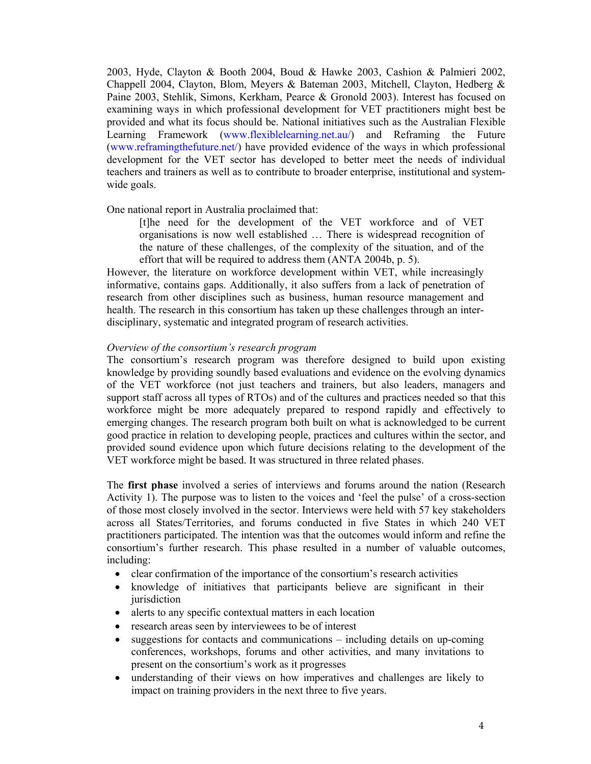2003, Hyde, Clayton & Booth 2004, Boud & Hawke 2003, Cashion & Palmieri 2002, Chappell 2004, Clayton, Blom, Meyers & Bateman 2003, Mitchell, Clayton, Hedberg & Paine 2003, Stehlik, Simons, Kerkham, Pearce & Gronold 2003). Interest has focused on examining ways in which professional development for VET practitioners might best be provided and what its focus should be. National initiatives such as the Australian Flexible Learning Framework (www.flexiblelearning.net.au/) and Reframing the Future (www.reframingthefuture.net/) have provided evidence of the ways in which professional development for the VET sector has developed to better meet the needs of individual teachers and trainers as well as to contribute to broader enterprise, institutional and systemwide goals.

One national report in Australia proclaimed that:

[t]he need for the development of the VET workforce and of VET organisations is now well established … There is widespread recognition of the nature of these challenges, of the complexity of the situation, and of the effort that will be required to address them (ANTA 2004b, p. 5).

However, the literature on workforce development within VET, while increasingly informative, contains gaps. Additionally, it also suffers from a lack of penetration of research from other disciplines such as business, human resource management and health. The research in this consortium has taken up these challenges through an interdisciplinary, systematic and integrated program of research activities.

#### *Overview of the consortium's research program*

The consortium's research program was therefore designed to build upon existing knowledge by providing soundly based evaluations and evidence on the evolving dynamics of the VET workforce (not just teachers and trainers, but also leaders, managers and support staff across all types of RTOs) and of the cultures and practices needed so that this workforce might be more adequately prepared to respond rapidly and effectively to emerging changes. The research program both built on what is acknowledged to be current good practice in relation to developing people, practices and cultures within the sector, and provided sound evidence upon which future decisions relating to the development of the VET workforce might be based. It was structured in three related phases.

The **first phase** involved a series of interviews and forums around the nation (Research Activity 1). The purpose was to listen to the voices and 'feel the pulse' of a cross-section of those most closely involved in the sector. Interviews were held with 57 key stakeholders across all States/Territories, and forums conducted in five States in which 240 VET practitioners participated. The intention was that the outcomes would inform and refine the consortium's further research. This phase resulted in a number of valuable outcomes, including:

- clear confirmation of the importance of the consortium's research activities
- knowledge of initiatives that participants believe are significant in their jurisdiction
- alerts to any specific contextual matters in each location
- research areas seen by interviewees to be of interest
- suggestions for contacts and communications including details on up-coming conferences, workshops, forums and other activities, and many invitations to present on the consortium's work as it progresses
- understanding of their views on how imperatives and challenges are likely to impact on training providers in the next three to five years.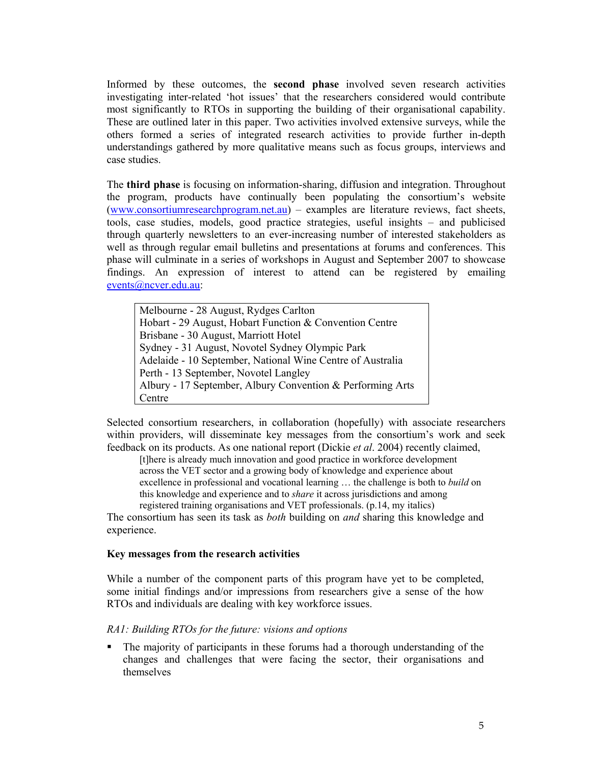Informed by these outcomes, the **second phase** involved seven research activities investigating inter-related 'hot issues' that the researchers considered would contribute most significantly to RTOs in supporting the building of their organisational capability. These are outlined later in this paper. Two activities involved extensive surveys, while the others formed a series of integrated research activities to provide further in-depth understandings gathered by more qualitative means such as focus groups, interviews and case studies.

The **third phase** is focusing on information-sharing, diffusion and integration. Throughout the program, products have continually been populating the consortium's website (www.consortiumresearchprogram.net.au) – examples are literature reviews, fact sheets, tools, case studies, models, good practice strategies, useful insights – and publicised through quarterly newsletters to an ever-increasing number of interested stakeholders as well as through regular email bulletins and presentations at forums and conferences. This phase will culminate in a series of workshops in August and September 2007 to showcase findings. An expression of interest to attend can be registered by emailing events@ncver.edu.au:

Melbourne - 28 August, Rydges Carlton Hobart - 29 August, Hobart Function & Convention Centre Brisbane - 30 August, Marriott Hotel Sydney - 31 August, Novotel Sydney Olympic Park Adelaide - 10 September, National Wine Centre of Australia Perth - 13 September, Novotel Langley Albury - 17 September, Albury Convention & Performing Arts Centre

Selected consortium researchers, in collaboration (hopefully) with associate researchers within providers, will disseminate key messages from the consortium's work and seek feedback on its products. As one national report (Dickie *et al*. 2004) recently claimed,

[t]here is already much innovation and good practice in workforce development across the VET sector and a growing body of knowledge and experience about excellence in professional and vocational learning … the challenge is both to *build* on this knowledge and experience and to *share* it across jurisdictions and among registered training organisations and VET professionals. (p.14, my italics)

The consortium has seen its task as *both* building on *and* sharing this knowledge and experience.

#### **Key messages from the research activities**

While a number of the component parts of this program have yet to be completed, some initial findings and/or impressions from researchers give a sense of the how RTOs and individuals are dealing with key workforce issues.

## *RA1: Building RTOs for the future: visions and options*

 The majority of participants in these forums had a thorough understanding of the changes and challenges that were facing the sector, their organisations and themselves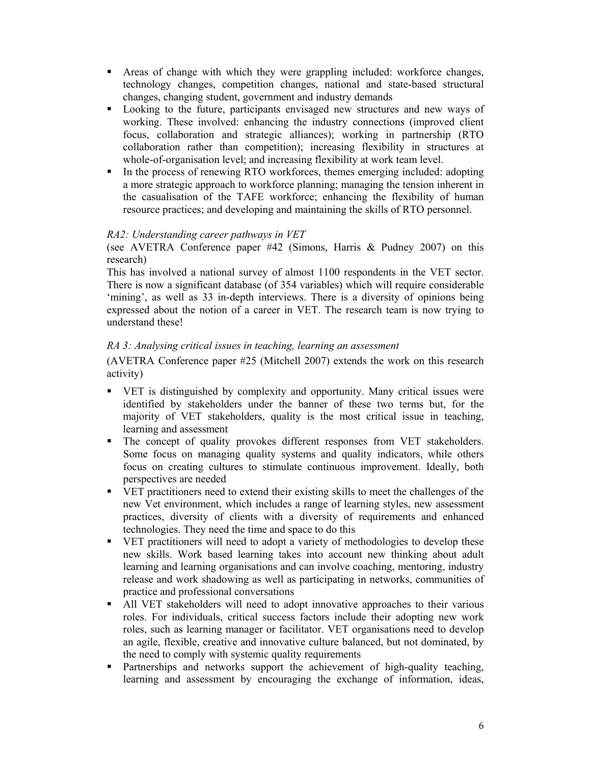- Areas of change with which they were grappling included: workforce changes, technology changes, competition changes, national and state-based structural changes, changing student, government and industry demands
- Looking to the future, participants envisaged new structures and new ways of working. These involved: enhancing the industry connections (improved client focus, collaboration and strategic alliances); working in partnership (RTO collaboration rather than competition); increasing flexibility in structures at whole-of-organisation level; and increasing flexibility at work team level.
- In the process of renewing RTO workforces, themes emerging included: adopting a more strategic approach to workforce planning; managing the tension inherent in the casualisation of the TAFE workforce; enhancing the flexibility of human resource practices; and developing and maintaining the skills of RTO personnel.

# *RA2: Understanding career pathways in VET*

(see AVETRA Conference paper #42 (Simons, Harris & Pudney 2007) on this research)

This has involved a national survey of almost 1100 respondents in the VET sector. There is now a significant database (of 354 variables) which will require considerable 'mining', as well as 33 in-depth interviews. There is a diversity of opinions being expressed about the notion of a career in VET. The research team is now trying to understand these!

# *RA 3: Analysing critical issues in teaching, learning an assessment*

(AVETRA Conference paper #25 (Mitchell 2007) extends the work on this research activity)

- VET is distinguished by complexity and opportunity. Many critical issues were identified by stakeholders under the banner of these two terms but, for the majority of VET stakeholders, quality is the most critical issue in teaching, learning and assessment
- The concept of quality provokes different responses from VET stakeholders. Some focus on managing quality systems and quality indicators, while others focus on creating cultures to stimulate continuous improvement. Ideally, both perspectives are needed
- VET practitioners need to extend their existing skills to meet the challenges of the new Vet environment, which includes a range of learning styles, new assessment practices, diversity of clients with a diversity of requirements and enhanced technologies. They need the time and space to do this
- VET practitioners will need to adopt a variety of methodologies to develop these new skills. Work based learning takes into account new thinking about adult learning and learning organisations and can involve coaching, mentoring, industry release and work shadowing as well as participating in networks, communities of practice and professional conversations
- All VET stakeholders will need to adopt innovative approaches to their various roles. For individuals, critical success factors include their adopting new work roles, such as learning manager or facilitator. VET organisations need to develop an agile, flexible, creative and innovative culture balanced, but not dominated, by the need to comply with systemic quality requirements
- Partnerships and networks support the achievement of high-quality teaching, learning and assessment by encouraging the exchange of information, ideas,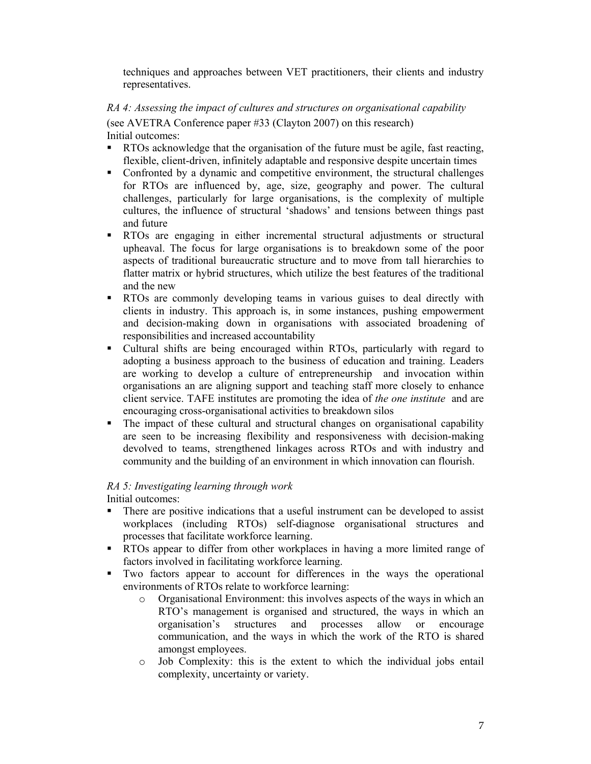techniques and approaches between VET practitioners, their clients and industry representatives.

# *RA 4: Assessing the impact of cultures and structures on organisational capability*

(see AVETRA Conference paper #33 (Clayton 2007) on this research) Initial outcomes:

- RTOs acknowledge that the organisation of the future must be agile, fast reacting, flexible, client-driven, infinitely adaptable and responsive despite uncertain times
- Confronted by a dynamic and competitive environment, the structural challenges for RTOs are influenced by, age, size, geography and power. The cultural challenges, particularly for large organisations, is the complexity of multiple cultures, the influence of structural 'shadows' and tensions between things past and future
- RTOs are engaging in either incremental structural adjustments or structural upheaval. The focus for large organisations is to breakdown some of the poor aspects of traditional bureaucratic structure and to move from tall hierarchies to flatter matrix or hybrid structures, which utilize the best features of the traditional and the new
- RTOs are commonly developing teams in various guises to deal directly with clients in industry. This approach is, in some instances, pushing empowerment and decision-making down in organisations with associated broadening of responsibilities and increased accountability
- Cultural shifts are being encouraged within RTOs, particularly with regard to adopting a business approach to the business of education and training. Leaders are working to develop a culture of entrepreneurship and invocation within organisations an are aligning support and teaching staff more closely to enhance client service. TAFE institutes are promoting the idea of *the one institute* and are encouraging cross-organisational activities to breakdown silos
- The impact of these cultural and structural changes on organisational capability are seen to be increasing flexibility and responsiveness with decision-making devolved to teams, strengthened linkages across RTOs and with industry and community and the building of an environment in which innovation can flourish.

# *RA 5: Investigating learning through work*

Initial outcomes:

- There are positive indications that a useful instrument can be developed to assist workplaces (including RTOs) self-diagnose organisational structures and processes that facilitate workforce learning.
- **RTOs** appear to differ from other workplaces in having a more limited range of factors involved in facilitating workforce learning.
- Two factors appear to account for differences in the ways the operational environments of RTOs relate to workforce learning:
	- o Organisational Environment: this involves aspects of the ways in which an RTO's management is organised and structured, the ways in which an organisation's structures and processes allow or encourage communication, and the ways in which the work of the RTO is shared amongst employees.
	- o Job Complexity: this is the extent to which the individual jobs entail complexity, uncertainty or variety.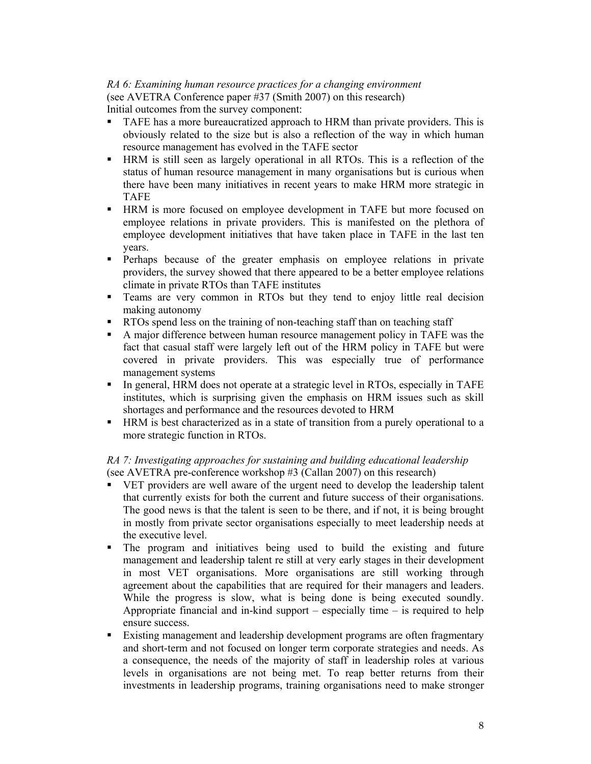# *RA 6: Examining human resource practices for a changing environment*  (see AVETRA Conference paper #37 (Smith 2007) on this research)

Initial outcomes from the survey component:

- TAFE has a more bureaucratized approach to HRM than private providers. This is obviously related to the size but is also a reflection of the way in which human resource management has evolved in the TAFE sector
- HRM is still seen as largely operational in all RTOs. This is a reflection of the status of human resource management in many organisations but is curious when there have been many initiatives in recent years to make HRM more strategic in TAFE
- HRM is more focused on employee development in TAFE but more focused on employee relations in private providers. This is manifested on the plethora of employee development initiatives that have taken place in TAFE in the last ten years.
- Perhaps because of the greater emphasis on employee relations in private providers, the survey showed that there appeared to be a better employee relations climate in private RTOs than TAFE institutes
- Teams are very common in RTOs but they tend to enjoy little real decision making autonomy
- **RTOs spend less on the training of non-teaching staff than on teaching staff**
- A major difference between human resource management policy in TAFE was the fact that casual staff were largely left out of the HRM policy in TAFE but were covered in private providers. This was especially true of performance management systems
- In general, HRM does not operate at a strategic level in RTOs, especially in TAFE institutes, which is surprising given the emphasis on HRM issues such as skill shortages and performance and the resources devoted to HRM
- HRM is best characterized as in a state of transition from a purely operational to a more strategic function in RTOs.

## *RA 7: Investigating approaches for sustaining and building educational leadership*  (see AVETRA pre-conference workshop #3 (Callan 2007) on this research)

- VET providers are well aware of the urgent need to develop the leadership talent that currently exists for both the current and future success of their organisations. The good news is that the talent is seen to be there, and if not, it is being brought in mostly from private sector organisations especially to meet leadership needs at the executive level.
- The program and initiatives being used to build the existing and future management and leadership talent re still at very early stages in their development in most VET organisations. More organisations are still working through agreement about the capabilities that are required for their managers and leaders. While the progress is slow, what is being done is being executed soundly. Appropriate financial and in-kind support – especially time – is required to help ensure success.
- Existing management and leadership development programs are often fragmentary and short-term and not focused on longer term corporate strategies and needs. As a consequence, the needs of the majority of staff in leadership roles at various levels in organisations are not being met. To reap better returns from their investments in leadership programs, training organisations need to make stronger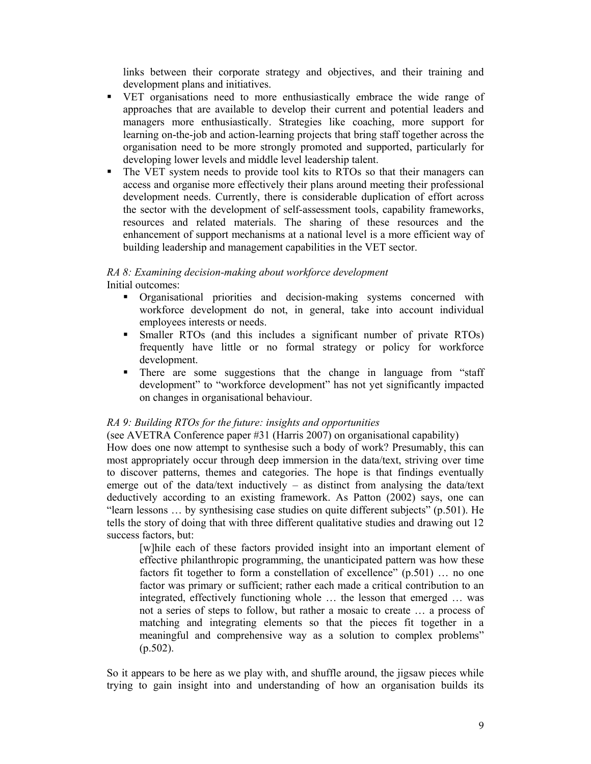links between their corporate strategy and objectives, and their training and development plans and initiatives.

- VET organisations need to more enthusiastically embrace the wide range of approaches that are available to develop their current and potential leaders and managers more enthusiastically. Strategies like coaching, more support for learning on-the-job and action-learning projects that bring staff together across the organisation need to be more strongly promoted and supported, particularly for developing lower levels and middle level leadership talent.
- The VET system needs to provide tool kits to RTOs so that their managers can access and organise more effectively their plans around meeting their professional development needs. Currently, there is considerable duplication of effort across the sector with the development of self-assessment tools, capability frameworks, resources and related materials. The sharing of these resources and the enhancement of support mechanisms at a national level is a more efficient way of building leadership and management capabilities in the VET sector.

## *RA 8: Examining decision-making about workforce development*  Initial outcomes:

- Organisational priorities and decision-making systems concerned with workforce development do not, in general, take into account individual employees interests or needs.
- Smaller RTOs (and this includes a significant number of private RTOs) frequently have little or no formal strategy or policy for workforce development.
- There are some suggestions that the change in language from "staff" development" to "workforce development" has not yet significantly impacted on changes in organisational behaviour.

# *RA 9: Building RTOs for the future: insights and opportunities*

(see AVETRA Conference paper #31 (Harris 2007) on organisational capability) How does one now attempt to synthesise such a body of work? Presumably, this can most appropriately occur through deep immersion in the data/text, striving over time to discover patterns, themes and categories. The hope is that findings eventually emerge out of the data/text inductively  $-$  as distinct from analysing the data/text deductively according to an existing framework. As Patton (2002) says, one can "learn lessons … by synthesising case studies on quite different subjects" (p.501). He tells the story of doing that with three different qualitative studies and drawing out 12

success factors, but: [w]hile each of these factors provided insight into an important element of effective philanthropic programming, the unanticipated pattern was how these factors fit together to form a constellation of excellence" (p.501) ... no one factor was primary or sufficient; rather each made a critical contribution to an integrated, effectively functioning whole … the lesson that emerged … was not a series of steps to follow, but rather a mosaic to create … a process of matching and integrating elements so that the pieces fit together in a meaningful and comprehensive way as a solution to complex problems"  $(p.502)$ .

So it appears to be here as we play with, and shuffle around, the jigsaw pieces while trying to gain insight into and understanding of how an organisation builds its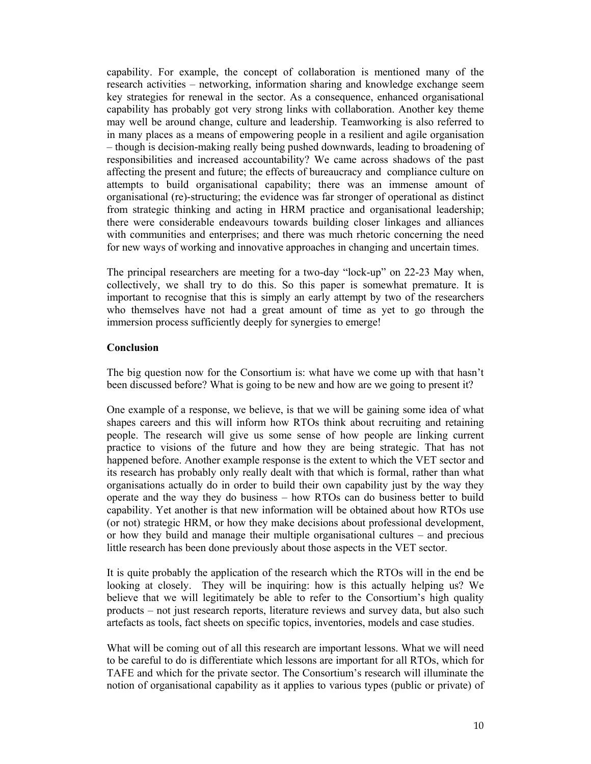capability. For example, the concept of collaboration is mentioned many of the research activities – networking, information sharing and knowledge exchange seem key strategies for renewal in the sector. As a consequence, enhanced organisational capability has probably got very strong links with collaboration. Another key theme may well be around change, culture and leadership. Teamworking is also referred to in many places as a means of empowering people in a resilient and agile organisation – though is decision-making really being pushed downwards, leading to broadening of responsibilities and increased accountability? We came across shadows of the past affecting the present and future; the effects of bureaucracy and compliance culture on attempts to build organisational capability; there was an immense amount of organisational (re)-structuring; the evidence was far stronger of operational as distinct from strategic thinking and acting in HRM practice and organisational leadership; there were considerable endeavours towards building closer linkages and alliances with communities and enterprises; and there was much rhetoric concerning the need for new ways of working and innovative approaches in changing and uncertain times.

The principal researchers are meeting for a two-day "lock-up" on 22-23 May when, collectively, we shall try to do this. So this paper is somewhat premature. It is important to recognise that this is simply an early attempt by two of the researchers who themselves have not had a great amount of time as yet to go through the immersion process sufficiently deeply for synergies to emerge!

## **Conclusion**

The big question now for the Consortium is: what have we come up with that hasn't been discussed before? What is going to be new and how are we going to present it?

One example of a response, we believe, is that we will be gaining some idea of what shapes careers and this will inform how RTOs think about recruiting and retaining people. The research will give us some sense of how people are linking current practice to visions of the future and how they are being strategic. That has not happened before. Another example response is the extent to which the VET sector and its research has probably only really dealt with that which is formal, rather than what organisations actually do in order to build their own capability just by the way they operate and the way they do business – how RTOs can do business better to build capability. Yet another is that new information will be obtained about how RTOs use (or not) strategic HRM, or how they make decisions about professional development, or how they build and manage their multiple organisational cultures – and precious little research has been done previously about those aspects in the VET sector.

It is quite probably the application of the research which the RTOs will in the end be looking at closely. They will be inquiring: how is this actually helping us? We believe that we will legitimately be able to refer to the Consortium's high quality products – not just research reports, literature reviews and survey data, but also such artefacts as tools, fact sheets on specific topics, inventories, models and case studies.

What will be coming out of all this research are important lessons. What we will need to be careful to do is differentiate which lessons are important for all RTOs, which for TAFE and which for the private sector. The Consortium's research will illuminate the notion of organisational capability as it applies to various types (public or private) of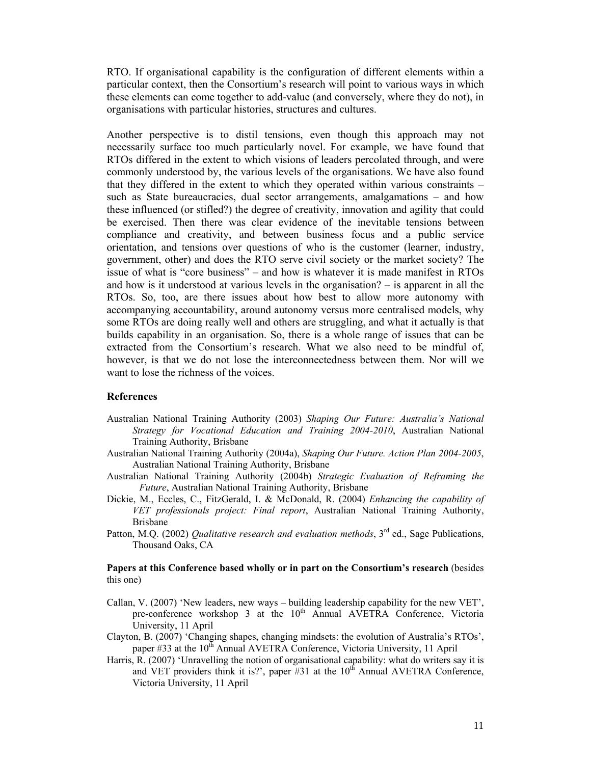RTO. If organisational capability is the configuration of different elements within a particular context, then the Consortium's research will point to various ways in which these elements can come together to add-value (and conversely, where they do not), in organisations with particular histories, structures and cultures.

Another perspective is to distil tensions, even though this approach may not necessarily surface too much particularly novel. For example, we have found that RTOs differed in the extent to which visions of leaders percolated through, and were commonly understood by, the various levels of the organisations. We have also found that they differed in the extent to which they operated within various constraints – such as State bureaucracies, dual sector arrangements, amalgamations – and how these influenced (or stifled?) the degree of creativity, innovation and agility that could be exercised. Then there was clear evidence of the inevitable tensions between compliance and creativity, and between business focus and a public service orientation, and tensions over questions of who is the customer (learner, industry, government, other) and does the RTO serve civil society or the market society? The issue of what is "core business" – and how is whatever it is made manifest in RTOs and how is it understood at various levels in the organisation? – is apparent in all the RTOs. So, too, are there issues about how best to allow more autonomy with accompanying accountability, around autonomy versus more centralised models, why some RTOs are doing really well and others are struggling, and what it actually is that builds capability in an organisation. So, there is a whole range of issues that can be extracted from the Consortium's research. What we also need to be mindful of, however, is that we do not lose the interconnectedness between them. Nor will we want to lose the richness of the voices.

#### **References**

- Australian National Training Authority (2003) *Shaping Our Future: Australia's National Strategy for Vocational Education and Training 2004-2010*, Australian National Training Authority, Brisbane
- Australian National Training Authority (2004a), *Shaping Our Future. Action Plan 2004-2005*, Australian National Training Authority, Brisbane
- Australian National Training Authority (2004b) *Strategic Evaluation of Reframing the Future*, Australian National Training Authority, Brisbane
- Dickie, M., Eccles, C., FitzGerald, I. & McDonald, R. (2004) *Enhancing the capability of VET professionals project: Final report*, Australian National Training Authority, Brisbane
- Patton, M.Q. (2002) *Qualitative research and evaluation methods*, 3<sup>rd</sup> ed., Sage Publications, Thousand Oaks, CA

**Papers at this Conference based wholly or in part on the Consortium's research** (besides this one)

- Callan, V. (2007) 'New leaders, new ways building leadership capability for the new VET', pre-conference workshop 3 at the  $10<sup>th</sup>$  Annual AVETRA Conference, Victoria University, 11 April
- Clayton, B. (2007) 'Changing shapes, changing mindsets: the evolution of Australia's RTOs', paper #33 at the  $10<sup>th</sup>$  Annual AVETRA Conference, Victoria University, 11 April
- Harris, R. (2007) 'Unravelling the notion of organisational capability: what do writers say it is and VET providers think it is?', paper  $#31$  at the  $10<sup>th</sup>$  Annual AVETRA Conference, Victoria University, 11 April